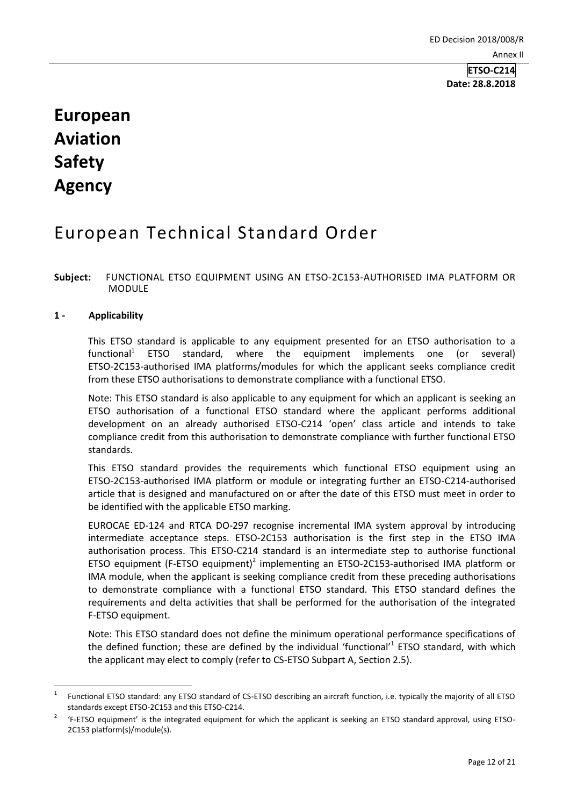# **European Aviation Safety Agency**

## European Technical Standard Order

## **Subject:** FUNCTIONAL ETSO EQUIPMENT USING AN ETSO-2C153-AUTHORISED IMA PLATFORM OR MODULE

## **1 - Applicability**

**.** 

This ETSO standard is applicable to any equipment presented for an ETSO authorisation to a functional<sup>1</sup> ETSO standard, where the equipment implements one (or several) ETSO-2C153-authorised IMA platforms/modules for which the applicant seeks compliance credit from these ETSO authorisations to demonstrate compliance with a functional ETSO.

Note: This ETSO standard is also applicable to any equipment for which an applicant is seeking an ETSO authorisation of a functional ETSO standard where the applicant performs additional development on an already authorised ETSO-C214 'open' class article and intends to take compliance credit from this authorisation to demonstrate compliance with further functional ETSO standards.

This ETSO standard provides the requirements which functional ETSO equipment using an ETSO-2C153-authorised IMA platform or module or integrating further an ETSO-C214-authorised article that is designed and manufactured on or after the date of this ETSO must meet in order to be identified with the applicable ETSO marking.

EUROCAE ED-124 and RTCA DO-297 recognise incremental IMA system approval by introducing intermediate acceptance steps. ETSO-2C153 authorisation is the first step in the ETSO IMA authorisation process. This ETSO-C214 standard is an intermediate step to authorise functional ETSO equipment (F-ETSO equipment)<sup>2</sup> implementing an ETSO-2C153-authorised IMA platform or IMA module, when the applicant is seeking compliance credit from these preceding authorisations to demonstrate compliance with a functional ETSO standard. This ETSO standard defines the requirements and delta activities that shall be performed for the authorisation of the integrated F-ETSO equipment.

Note: This ETSO standard does not define the minimum operational performance specifications of the defined function; these are defined by the individual 'functional'<sup>1</sup> ETSO standard, with which the applicant may elect to comply (refer to CS-ETSO Subpart A, Section 2.5).

<sup>1</sup> Functional ETSO standard: any ETSO standard of CS-ETSO describing an aircraft function, i.e. typically the majority of all ETSO standards except ETSO-2C153 and this ETSO-C214.

<sup>2</sup> 'F-ETSO equipment' is the integrated equipment for which the applicant is seeking an ETSO standard approval, using ETSO-2C153 platform(s)/module(s).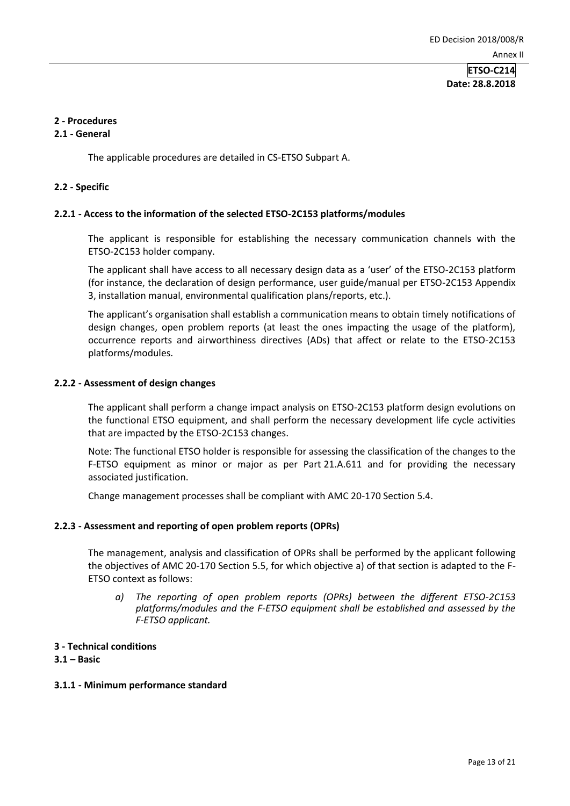## **2 - Procedures**

## **2.1 - General**

The applicable procedures are detailed in CS-ETSO Subpart A.

#### **2.2 - Specific**

## **2.2.1 - Access to the information of the selected ETSO-2C153 platforms/modules**

The applicant is responsible for establishing the necessary communication channels with the ETSO-2C153 holder company.

The applicant shall have access to all necessary design data as a 'user' of the ETSO-2C153 platform (for instance, the declaration of design performance, user guide/manual per ETSO-2C153 Appendix 3, installation manual, environmental qualification plans/reports, etc.).

The applicant's organisation shall establish a communication means to obtain timely notifications of design changes, open problem reports (at least the ones impacting the usage of the platform), occurrence reports and airworthiness directives (ADs) that affect or relate to the ETSO-2C153 platforms/modules.

#### **2.2.2 - Assessment of design changes**

The applicant shall perform a change impact analysis on ETSO-2C153 platform design evolutions on the functional ETSO equipment, and shall perform the necessary development life cycle activities that are impacted by the ETSO-2C153 changes.

Note: The functional ETSO holder is responsible for assessing the classification of the changes to the F-ETSO equipment as minor or major as per Part 21.A.611 and for providing the necessary associated justification.

Change management processes shall be compliant with AMC 20-170 Section 5.4.

#### **2.2.3 - Assessment and reporting of open problem reports (OPRs)**

The management, analysis and classification of OPRs shall be performed by the applicant following the objectives of AMC 20-170 Section 5.5, for which objective a) of that section is adapted to the F-ETSO context as follows:

- *a) The reporting of open problem reports (OPRs) between the different ETSO-2C153 platforms/modules and the F-ETSO equipment shall be established and assessed by the F-ETSO applicant.*
- **3 - Technical conditions**

#### **3.1 – Basic**

## **3.1.1 - Minimum performance standard**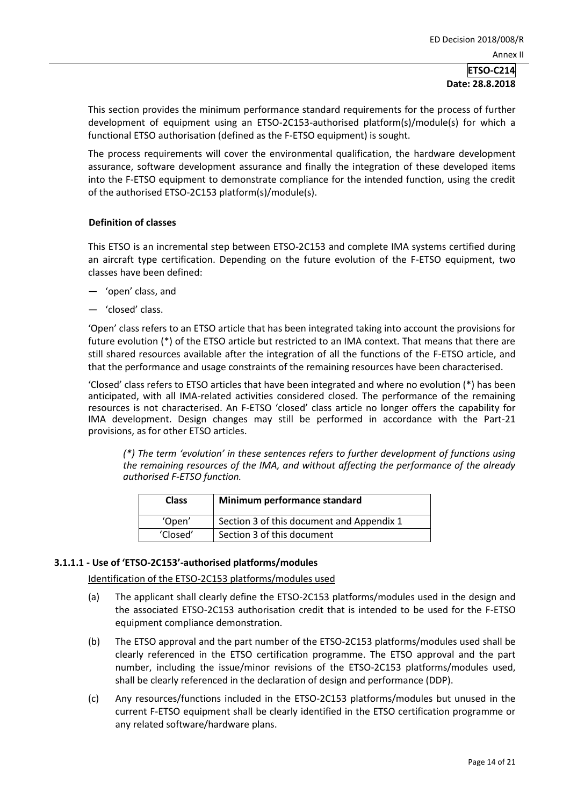This section provides the minimum performance standard requirements for the process of further development of equipment using an ETSO-2C153-authorised platform(s)/module(s) for which a functional ETSO authorisation (defined as the F-ETSO equipment) is sought.

The process requirements will cover the environmental qualification, the hardware development assurance, software development assurance and finally the integration of these developed items into the F-ETSO equipment to demonstrate compliance for the intended function, using the credit of the authorised ETSO-2C153 platform(s)/module(s).

## **Definition of classes**

This ETSO is an incremental step between ETSO-2C153 and complete IMA systems certified during an aircraft type certification. Depending on the future evolution of the F-ETSO equipment, two classes have been defined:

- 'open' class, and
- 'closed' class.

'Open' class refers to an ETSO article that has been integrated taking into account the provisions for future evolution (\*) of the ETSO article but restricted to an IMA context. That means that there are still shared resources available after the integration of all the functions of the F-ETSO article, and that the performance and usage constraints of the remaining resources have been characterised.

'Closed' class refers to ETSO articles that have been integrated and where no evolution (\*) has been anticipated, with all IMA-related activities considered closed. The performance of the remaining resources is not characterised. An F-ETSO 'closed' class article no longer offers the capability for IMA development. Design changes may still be performed in accordance with the Part-21 provisions, as for other ETSO articles.

*(\*) The term 'evolution' in these sentences refers to further development of functions using the remaining resources of the IMA, and without affecting the performance of the already authorised F-ETSO function.*

| <b>Class</b> | Minimum performance standard              |
|--------------|-------------------------------------------|
| 'Open'       | Section 3 of this document and Appendix 1 |
| 'Closed'     | Section 3 of this document                |

## **3.1.1.1 - Use of 'ETSO-2C153'-authorised platforms/modules**

#### Identification of the ETSO-2C153 platforms/modules used

- (a) The applicant shall clearly define the ETSO-2C153 platforms/modules used in the design and the associated ETSO-2C153 authorisation credit that is intended to be used for the F-ETSO equipment compliance demonstration.
- (b) The ETSO approval and the part number of the ETSO-2C153 platforms/modules used shall be clearly referenced in the ETSO certification programme. The ETSO approval and the part number, including the issue/minor revisions of the ETSO-2C153 platforms/modules used, shall be clearly referenced in the declaration of design and performance (DDP).
- (c) Any resources/functions included in the ETSO-2C153 platforms/modules but unused in the current F-ETSO equipment shall be clearly identified in the ETSO certification programme or any related software/hardware plans.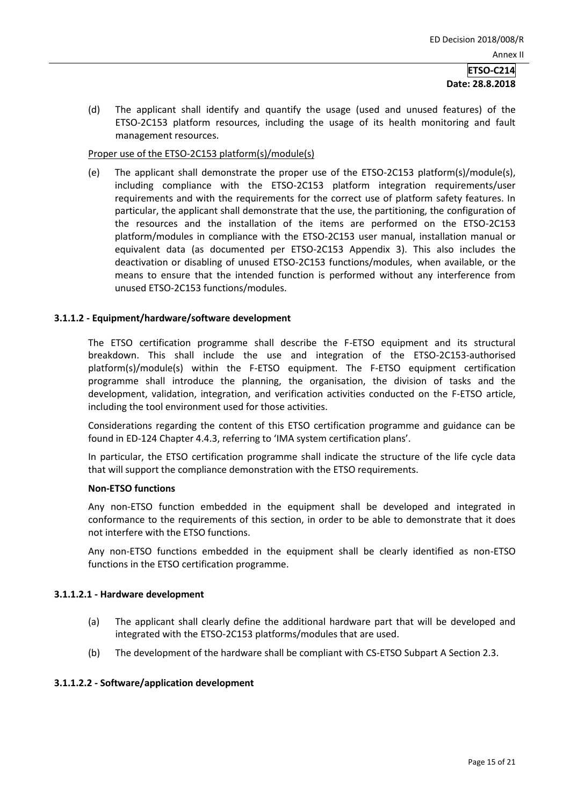(d) The applicant shall identify and quantify the usage (used and unused features) of the ETSO-2C153 platform resources, including the usage of its health monitoring and fault management resources.

## Proper use of the ETSO-2C153 platform(s)/module(s)

(e) The applicant shall demonstrate the proper use of the ETSO-2C153 platform(s)/module(s), including compliance with the ETSO-2C153 platform integration requirements/user requirements and with the requirements for the correct use of platform safety features. In particular, the applicant shall demonstrate that the use, the partitioning, the configuration of the resources and the installation of the items are performed on the ETSO-2C153 platform/modules in compliance with the ETSO-2C153 user manual, installation manual or equivalent data (as documented per ETSO-2C153 Appendix 3). This also includes the deactivation or disabling of unused ETSO-2C153 functions/modules, when available, or the means to ensure that the intended function is performed without any interference from unused ETSO-2C153 functions/modules.

## **3.1.1.2 - Equipment/hardware/software development**

The ETSO certification programme shall describe the F-ETSO equipment and its structural breakdown. This shall include the use and integration of the ETSO-2C153-authorised platform(s)/module(s) within the F-ETSO equipment. The F-ETSO equipment certification programme shall introduce the planning, the organisation, the division of tasks and the development, validation, integration, and verification activities conducted on the F-ETSO article, including the tool environment used for those activities.

Considerations regarding the content of this ETSO certification programme and guidance can be found in ED-124 Chapter 4.4.3, referring to 'IMA system certification plans'.

In particular, the ETSO certification programme shall indicate the structure of the life cycle data that will support the compliance demonstration with the ETSO requirements.

#### **Non-ETSO functions**

Any non-ETSO function embedded in the equipment shall be developed and integrated in conformance to the requirements of this section, in order to be able to demonstrate that it does not interfere with the ETSO functions.

Any non-ETSO functions embedded in the equipment shall be clearly identified as non-ETSO functions in the ETSO certification programme.

#### **3.1.1.2.1 - Hardware development**

- (a) The applicant shall clearly define the additional hardware part that will be developed and integrated with the ETSO-2C153 platforms/modules that are used.
- (b) The development of the hardware shall be compliant with CS-ETSO Subpart A Section 2.3.

## **3.1.1.2.2 - Software/application development**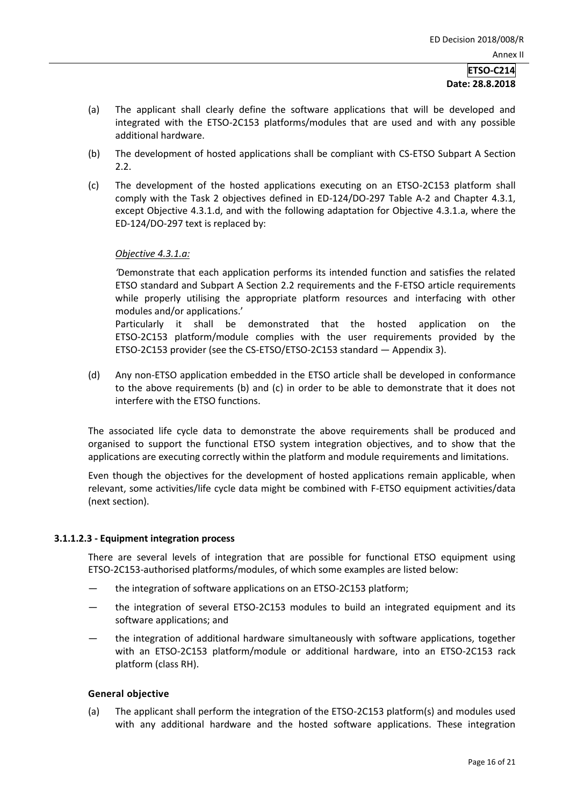- (a) The applicant shall clearly define the software applications that will be developed and integrated with the ETSO-2C153 platforms/modules that are used and with any possible additional hardware.
- (b) The development of hosted applications shall be compliant with CS-ETSO Subpart A Section 2.2.
- (c) The development of the hosted applications executing on an ETSO-2C153 platform shall comply with the Task 2 objectives defined in ED-124/DO-297 Table A-2 and Chapter 4.3.1, except Objective 4.3.1.d, and with the following adaptation for Objective 4.3.1.a, where the ED-124/DO-297 text is replaced by:

## *Objective 4.3.1.a:*

*'*Demonstrate that each application performs its intended function and satisfies the related ETSO standard and Subpart A Section 2.2 requirements and the F-ETSO article requirements while properly utilising the appropriate platform resources and interfacing with other modules and/or applications.'

Particularly it shall be demonstrated that the hosted application on the ETSO-2C153 platform/module complies with the user requirements provided by the ETSO-2C153 provider (see the CS-ETSO/ETSO-2C153 standard — Appendix 3).

(d) Any non-ETSO application embedded in the ETSO article shall be developed in conformance to the above requirements (b) and (c) in order to be able to demonstrate that it does not interfere with the ETSO functions.

The associated life cycle data to demonstrate the above requirements shall be produced and organised to support the functional ETSO system integration objectives, and to show that the applications are executing correctly within the platform and module requirements and limitations.

Even though the objectives for the development of hosted applications remain applicable, when relevant, some activities/life cycle data might be combined with F-ETSO equipment activities/data (next section).

## **3.1.1.2.3 - Equipment integration process**

There are several levels of integration that are possible for functional ETSO equipment using ETSO-2C153-authorised platforms/modules, of which some examples are listed below:

- the integration of software applications on an ETSO-2C153 platform;
- the integration of several ETSO-2C153 modules to build an integrated equipment and its software applications; and
- the integration of additional hardware simultaneously with software applications, together with an ETSO-2C153 platform/module or additional hardware, into an ETSO-2C153 rack platform (class RH).

#### **General objective**

(a) The applicant shall perform the integration of the ETSO-2C153 platform(s) and modules used with any additional hardware and the hosted software applications. These integration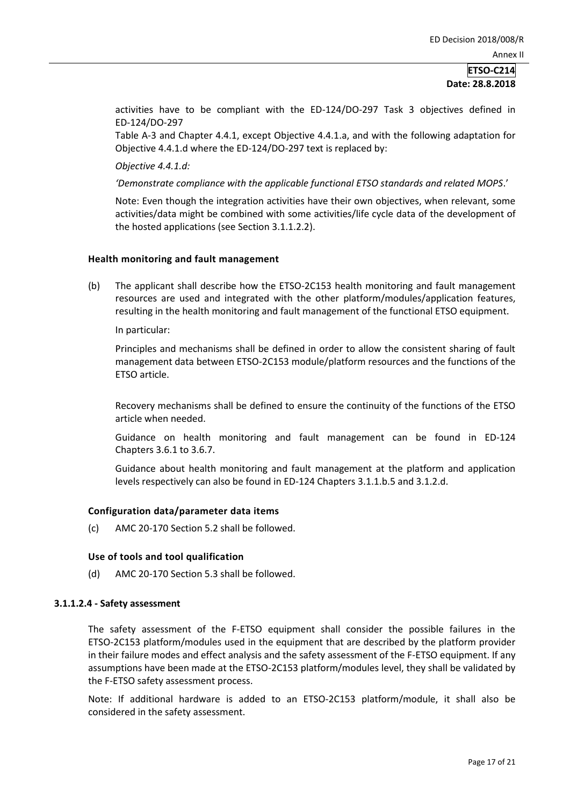activities have to be compliant with the ED-124/DO-297 Task 3 objectives defined in ED-124/DO-297

Table A-3 and Chapter 4.4.1, except Objective 4.4.1.a, and with the following adaptation for Objective 4.4.1.d where the ED-124/DO-297 text is replaced by:

*Objective 4.4.1.d:*

*'Demonstrate compliance with the applicable functional ETSO standards and related MOPS*.'

Note: Even though the integration activities have their own objectives, when relevant, some activities/data might be combined with some activities/life cycle data of the development of the hosted applications (see Section 3.1.1.2.2).

## **Health monitoring and fault management**

(b) The applicant shall describe how the ETSO-2C153 health monitoring and fault management resources are used and integrated with the other platform/modules/application features, resulting in the health monitoring and fault management of the functional ETSO equipment.

In particular:

Principles and mechanisms shall be defined in order to allow the consistent sharing of fault management data between ETSO-2C153 module/platform resources and the functions of the ETSO article.

Recovery mechanisms shall be defined to ensure the continuity of the functions of the ETSO article when needed.

Guidance on health monitoring and fault management can be found in ED-124 Chapters 3.6.1 to 3.6.7.

Guidance about health monitoring and fault management at the platform and application levels respectively can also be found in ED-124 Chapters 3.1.1.b.5 and 3.1.2.d.

#### **Configuration data/parameter data items**

(c) AMC 20-170 Section 5.2 shall be followed.

#### **Use of tools and tool qualification**

(d) AMC 20-170 Section 5.3 shall be followed.

#### **3.1.1.2.4 - Safety assessment**

The safety assessment of the F-ETSO equipment shall consider the possible failures in the ETSO-2C153 platform/modules used in the equipment that are described by the platform provider in their failure modes and effect analysis and the safety assessment of the F-ETSO equipment. If any assumptions have been made at the ETSO-2C153 platform/modules level, they shall be validated by the F-ETSO safety assessment process.

Note: If additional hardware is added to an ETSO-2C153 platform/module, it shall also be considered in the safety assessment.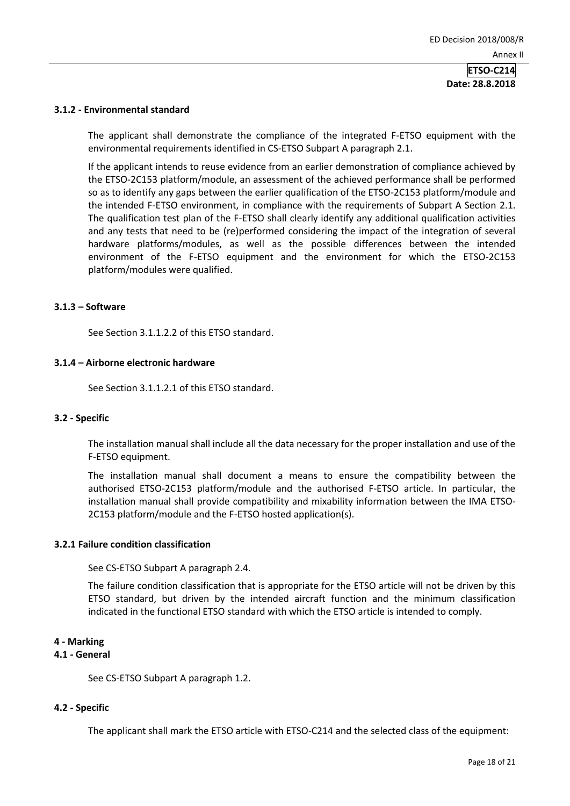#### **3.1.2 - Environmental standard**

The applicant shall demonstrate the compliance of the integrated F-ETSO equipment with the environmental requirements identified in CS-ETSO Subpart A paragraph 2.1.

If the applicant intends to reuse evidence from an earlier demonstration of compliance achieved by the ETSO-2C153 platform/module, an assessment of the achieved performance shall be performed so as to identify any gaps between the earlier qualification of the ETSO-2C153 platform/module and the intended F-ETSO environment, in compliance with the requirements of Subpart A Section 2.1. The qualification test plan of the F-ETSO shall clearly identify any additional qualification activities and any tests that need to be (re)performed considering the impact of the integration of several hardware platforms/modules, as well as the possible differences between the intended environment of the F-ETSO equipment and the environment for which the ETSO-2C153 platform/modules were qualified.

#### **3.1.3 – Software**

See Section 3.1.1.2.2 of this ETSO standard.

## **3.1.4 – Airborne electronic hardware**

See Section 3.1.1.2.1 of this ETSO standard.

#### **3.2 - Specific**

The installation manual shall include all the data necessary for the proper installation and use of the F-ETSO equipment.

The installation manual shall document a means to ensure the compatibility between the authorised ETSO-2C153 platform/module and the authorised F-ETSO article. In particular, the installation manual shall provide compatibility and mixability information between the IMA ETSO-2C153 platform/module and the F-ETSO hosted application(s).

## **3.2.1 Failure condition classification**

See CS-ETSO Subpart A paragraph 2.4.

The failure condition classification that is appropriate for the ETSO article will not be driven by this ETSO standard, but driven by the intended aircraft function and the minimum classification indicated in the functional ETSO standard with which the ETSO article is intended to comply.

#### **4 - Marking**

## **4.1 - General**

See CS-ETSO Subpart A paragraph 1.2.

#### **4.2 - Specific**

The applicant shall mark the ETSO article with ETSO-C214 and the selected class of the equipment: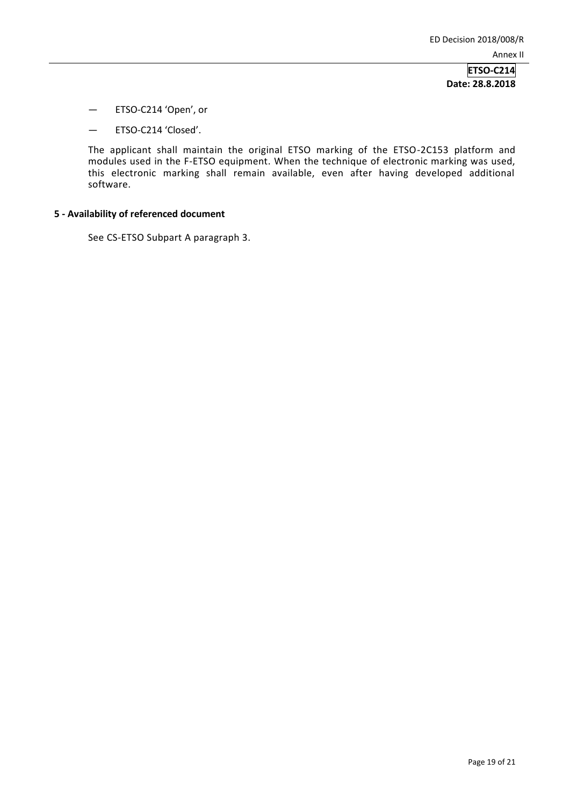- ETSO-C214 'Open', or
- ETSO-C214 'Closed'.

The applicant shall maintain the original ETSO marking of the ETSO-2C153 platform and modules used in the F-ETSO equipment. When the technique of electronic marking was used, this electronic marking shall remain available, even after having developed additional software.

## **5 - Availability of referenced document**

See CS-ETSO Subpart A paragraph 3.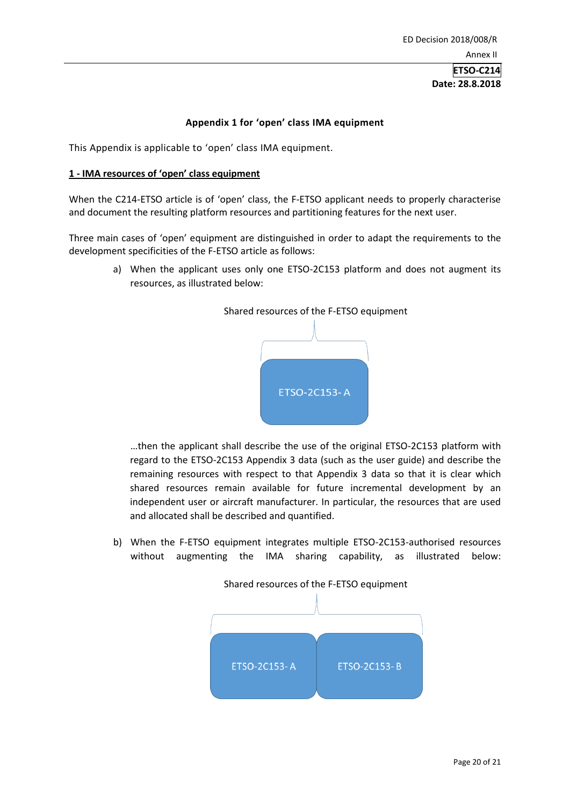## **Appendix 1 for 'open' class IMA equipment**

This Appendix is applicable to 'open' class IMA equipment.

#### **1 - IMA resources of 'open' class equipment**

When the C214-ETSO article is of 'open' class, the F-ETSO applicant needs to properly characterise and document the resulting platform resources and partitioning features for the next user.

Three main cases of 'open' equipment are distinguished in order to adapt the requirements to the development specificities of the F-ETSO article as follows:

> a) When the applicant uses only one ETSO-2C153 platform and does not augment its resources, as illustrated below:



…then the applicant shall describe the use of the original ETSO-2C153 platform with regard to the ETSO-2C153 Appendix 3 data (such as the user guide) and describe the remaining resources with respect to that Appendix 3 data so that it is clear which shared resources remain available for future incremental development by an independent user or aircraft manufacturer. In particular, the resources that are used and allocated shall be described and quantified.

b) When the F-ETSO equipment integrates multiple ETSO-2C153-authorised resources without augmenting the IMA sharing capability, as illustrated below:



Shared resources of the F-ETSO equipment